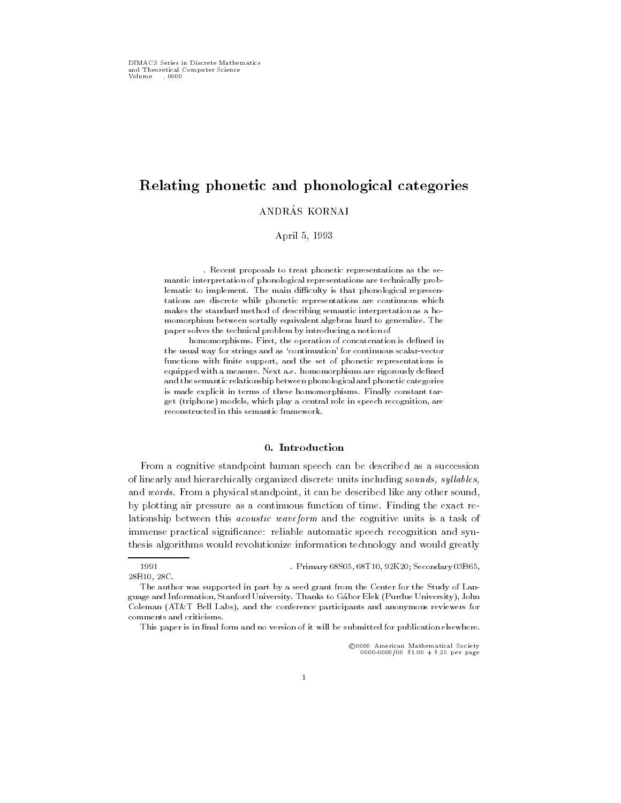# Relating phonetic and phonological categories

ANDRÁS KORNAI

April 5, 1993

. Recent proposals to treat phonetic representations as the se mantic interpretation of phonological representations are technically problematic to implement. The main difficulty is that phonological representations are discrete while phonetic representations are continuous which makes the standard method of describing semantic interpretation as a homomorphism between sortally equivalent algebras hard to generalize. The paper solves the technical problem by introducing a notion of

homomorphisms. First, the operation of concatenation is defined in the usual way for strings and as 'continuation' for continuous scalar-vector functions with finite support, and the set of phonetic representations is equipped with a measure. Next a.e. homomorphisms are rigorously defined and the semantic relationship between phonological and phonetic categories is made explicit in terms of these homomorphisms. Finally constant target (triphone) models, which play a central role in speech recognition, are reconstructed in this semantic framework.

## 0. Introduction

From a cognitive standpoint human speech can be described as a succession of linearly and hierarchically organized discrete units including sounds, syllables, and words. From a physical standpoint, it can be described like any other sound, by plotting air pressure as a continuous function of time. Finding the exact relationship between this acoustic waveform and the cognitive units is a task of immense practical signicance: reliable automatic speech recognition and synthesis algorithms would revolutionize information technology and would greatly

<sup>c</sup> 0000 American Mathematical Society 0000-0000/00 \$1.00 + \$.25 per page

<sup>1991</sup> . Primary 68S05, 68T10, 92K20; Secondary 03B65, 28B10.28C. 28 C.C. 28 C.C. 28

The author was supported in part by a seed grant from the Center for the Study of Language and Information, Stanford University. Thanks to Gabor Elek (Purdue University), John Coleman (AT&T Bell Labs), and the conference participants and anonymous reviewers for comments and criticisms.

This paper is in final form and no version of it will be submitted for publication elsewhere.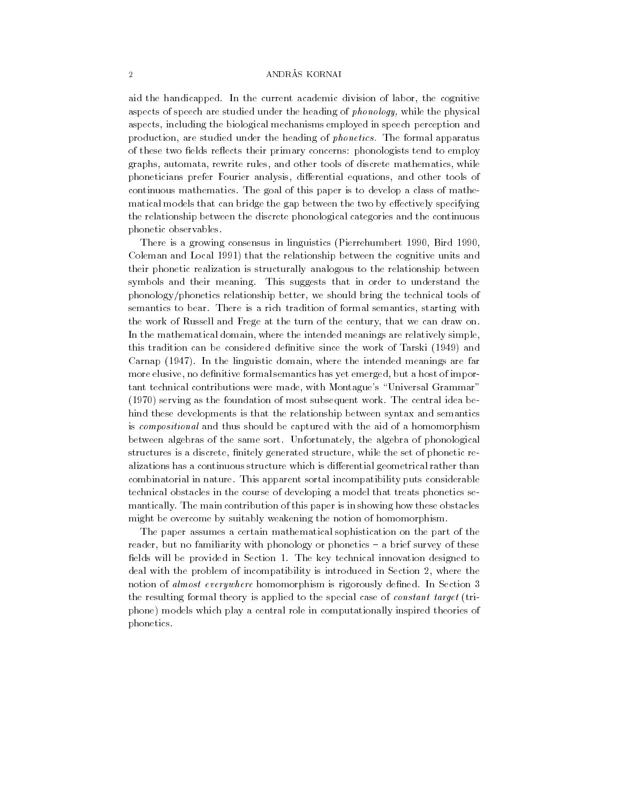aid the handicapped. In the current academic division of labor, the cognitive aspects of speech are studied under the heading of phonology, while the physical aspects, including the biological mechanisms employed in speech perception and production, are studied under the heading of phonetics. The formal apparatus of these two fields reflects their primary concerns: phonologists tend to employ graphs, automata, rewrite rules, and other tools of discrete mathematics, while phoneticians prefer Fourier analysis, differential equations, and other tools of continuous mathematics. The goal of this paper is to develop a class of mathematical models that can bridge the gap between the two by effectively specifying the relationship between the discrete phonological categories and the continuous phonetic observables.

There is a growing consensus in linguistics (Pierrehumbert 1990, Bird 1990, Coleman and Local 1991) that the relationship between the cognitive units and their phonetic realization is structurally analogous to the relationship between symbols and their meaning. This suggests that in order to understand the phonology/phonetics relationship better, we should bring the technical tools of semantics to bear. There is a rich tradition of formal semantics, starting with the work of Russell and Frege at the turn of the century, that we can draw on. In the mathematical domain, where the intended meanings are relatively simple, this tradition can be considered definitive since the work of Tarski (1949) and Carnap (1947). In the linguistic domain, where the intended meanings are far more elusive, no definitive formal semantics has yet emerged, but a host of important technical contributions were made, with Montague's "Universal Grammar" (1970) serving as the foundation of most subsequent work. The central idea behind these developments is that the relationship between syntax and semantics is compositional and thus should be captured with the aid of a homomorphism between algebras of the same sort. Unfortunately, the algebra of phonological structures is a discrete, finitely generated structure, while the set of phonetic realizations has a continuous structure which is differential geometrical rather than combinatorial in nature. This apparent sortal incompatibility puts considerable technical obstacles in the course of developing a model that treats phonetics se mantically. The main contribution of this paper is in showing how these obstacles might be overcome by suitably weakening the notion of homomorphism.

The paper assumes a certain mathematical sophistication on the part of the reader, but no familiarity with phonology or phonetics - a brief survey of these fields will be provided in Section 1. The key technical innovation designed to deal with the problem of incompatibility is introduced in Section 2, where the notion of almost everywhere homomorphism is rigorously defined. In Section 3 the resulting formal theory is applied to the special case of constant target (triphone) models which play a central role in computationally inspired theories of phonetics.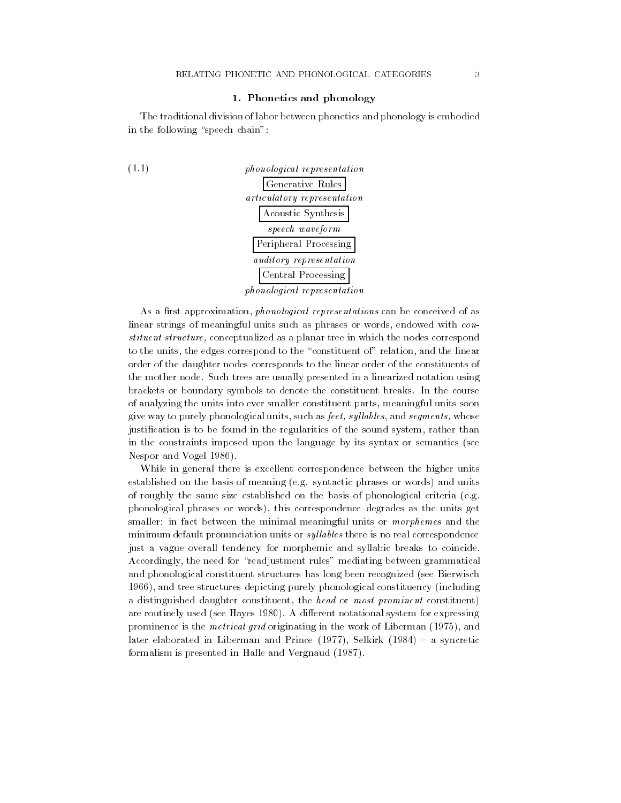## 1. Phonetics and phonology

The traditional division of labor between phonetics and phonology is embodied in the following "speech chain":



As a first approximation, *phonological representations* can be conceived of as linear strings of meaningful units such as phrases or words, endowed with constituent structure, conceptualized as a planar tree in which the nodes correspond to the units, the edges correspond to the "constituent of" relation, and the linear order of the daughter nodes corresponds to the linear order of the constituents of the mother node. Such trees are usually presented in a linearized notation using brackets or boundary symbols to denote the constituent breaks. In the course of analyzing the units into ever smaller constituent parts, meaningful units soon give way to purely phonological units, such as feet, syllables, and segments, whose justification is to be found in the regularities of the sound system, rather than in the constraints imposed upon the language by its syntax or semantics (see Nespor and Vogel 1986).

While in general there is excellent correspondence between the higher units established on the basis of meaning (e.g. syntactic phrases or words) and units of roughly the same size established on the basis of phonological criteria (e.g. phonological phrases or words), this correspondence degrades as the units get smaller: in fact between the minimal meaningful units or *morphemes* and the minimum default pronunciation units or *syllables* there is no real correspondence just a vague overall tendency for morphemic and syllabic breaks to coincide. Accordingly, the need for "readjustment rules" mediating between grammatical and phonological constituent structures has long been recognized (see Bierwisch 1966), and tree structures depicting purely phonological constituency (including a distinguished daughter constituent, the head or most prominent constituent) are routinely used (see Hayes 1980). A different notational system for expressing prominence is the metrical grid originating in the work of Liberman (1975), and later elaborated in Liberman and Prince  $(1977)$ , Selkirk  $(1984)$  – a syncretic formalism is presented in Halle and Vergnaud (1987).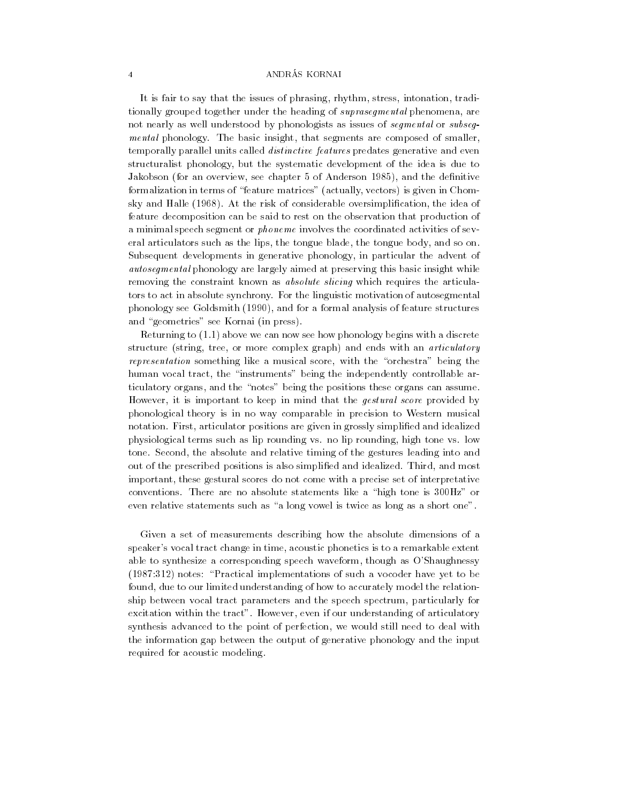It is fair to say that the issues of phrasing, rhythm, stress, intonation, traditionally grouped together under the heading of suprasegmental phenomena, are not nearly as well understood by phonologists as issues of *segmental* or *subseq*mental phonology. The basic insight, that segments are composed of smaller, temporally parallel units called distinctive features predates generative and even structuralist phonology, but the systematic development of the idea is due to Jakobson (for an overview, see chapter 5 of Anderson 1985), and the definitive formalization in terms of "feature matrices" (actually, vectors) is given in Chomsky and Halle (1968). At the risk of considerable oversimplication, the idea of feature decomposition can be said to rest on the observation that production of a minimal speech segment or phoneme involves the coordinated activities of several articulators such as the lips, the tongue blade, the tongue body, and so on. Subsequent developments in generative phonology, in particular the advent of autosegmental phonology are largely aimed at preserving this basic insight while removing the constraint known as *absolute slicing* which requires the articulators to act in absolute synchrony. For the linguistic motivation of autosegmental phonology see Goldsmith (1990), and for a formal analysis of feature structures and "geometries" see Kornai (in press).

Returning to (1.1) above we can now see how phonology begins with a discrete structure (string, tree, or more complex graph) and ends with an articulatory representation something like a musical score, with the "orchestra" being the human vocal tract, the "instruments" being the independently controllable articulatory organs, and the "notes" being the positions these organs can assume. However, it is important to keep in mind that the *gestural score* provided by phonological theory is in no way comparable in precision to Western musical notation. First, articulator positions are given in grossly simplied and idealized physiological terms such as lip rounding vs. no lip rounding, high tone vs. low tone. Second, the absolute and relative timing of the gestures leading into and out of the prescribed positions is also simplied and idealized. Third, and most important, these gestural scores do not come with a precise set of interpretative conventions. There are no absolute statements like a "high tone is  $300Hz$ " or even relative statements such as "a long vowel is twice as long as a short one".

Given a set of measurements describing how the absolute dimensions of a speaker's vocal tract change in time, acoustic phonetics is to a remarkable extent able to synthesize a corresponding speech waveform, though as O'Shaughnessy  $(1987:312)$  notes: "Practical implementations of such a vocoder have yet to be found, due to our limited understanding of how to accurately model the relationship between vocal tract parameters and the speech spectrum, particularly for excitation within the tract". However, even if our understanding of articulatory synthesis advanced to the point of perfection, we would still need to deal with the information gap between the output of generative phonology and the input required for acoustic modeling.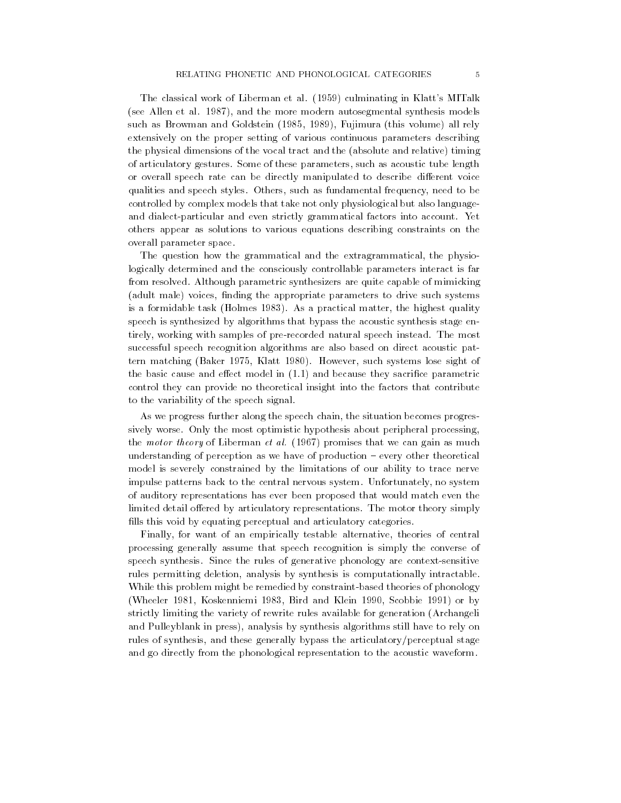The classical work of Liberman et al. (1959) culminating in Klatt's MITalk (see Allen et al. 1987), and the more modern autosegmental synthesis models such as Browman and Goldstein (1985, 1989), Fujimura (this volume) all rely extensively on the proper setting of various continuous parameters describing the physical dimensions of the vocal tract and the (absolute and relative) timing of articulatory gestures. Some of these parameters, such as acoustic tube length or overall speech rate can be directly manipulated to describe different voice qualities and speech styles. Others, such as fundamental frequency, need to be controlled by complex models that take not only physiological but also languageand dialect-particular and even strictly grammatical factors into account. Yet others appear as solutions to various equations describing constraints on the overall parameter space.

The question how the grammatical and the extragrammatical, the physiologically determined and the consciously controllable parameters interact is far from resolved. Although parametric synthesizers are quite capable of mimicking (adult male) voices, finding the appropriate parameters to drive such systems is a formidable task (Holmes 1983). As a practical matter, the highest quality speech is synthesized by algorithms that bypass the acoustic synthesis stage entirely, working with samples of pre-recorded natural speech instead. The most successful speech recognition algorithms are also based on direct acoustic pattern matching (Baker 1975, Klatt 1980). However, such systems lose sight of the basic cause and effect model in  $(1.1)$  and because they sacrifice parametric control they can provide no theoretical insight into the factors that contribute to the variability of the speech signal.

As we progress further along the speech chain, the situation becomes progressively worse. Only the most optimistic hypothesis about peripheral processing, the *motor theory* of Liberman *et al.* (1967) promises that we can gain as much understanding of perception as we have of production – every other theoretical model is severely constrained by the limitations of our ability to trace nerve impulse patterns back to the central nervous system. Unfortunately, no system of auditory representations has ever been proposed that would match even the limited detail offered by articulatory representations. The motor theory simply fills this void by equating perceptual and articulatory categories.

Finally, for want of an empirically testable alternative, theories of central processing generally assume that speech recognition is simply the converse of speech synthesis. Since the rules of generative phonology are context-sensitive rules permitting deletion, analysis by synthesis is computationally intractable. While this problem might be remedied by constraint-based theories of phonology (Wheeler 1981, Koskenniemi 1983, Bird and Klein 1990, Scobbie 1991) or by strictly limiting the variety of rewrite rules available for generation (Archangeli and Pulleyblank in press), analysis by synthesis algorithms still have to rely on rules of synthesis, and these generally bypass the articulatory/perceptual stage and go directly from the phonological representation to the acoustic waveform.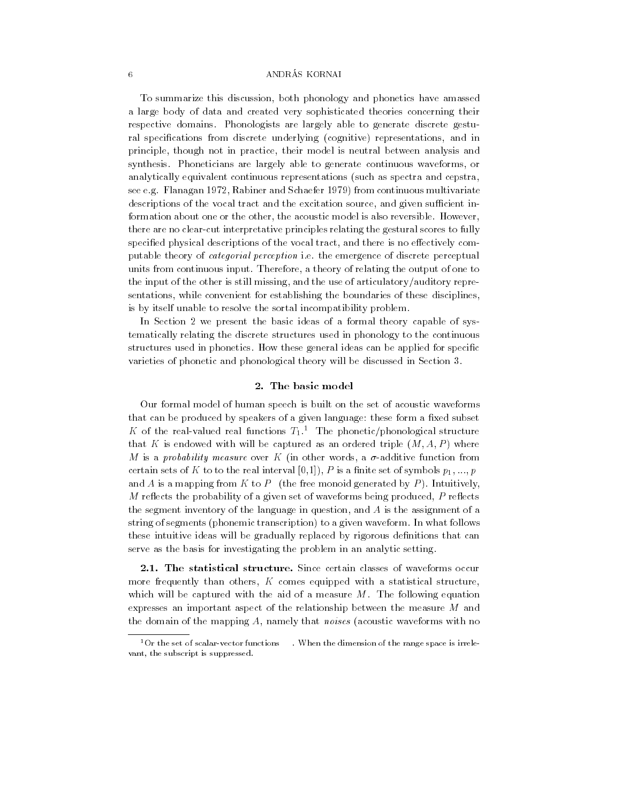To summarize this discussion, both phonology and phonetics have amassed a large body of data and created very sophisticated theories concerning their respective domains. Phonologists are largely able to generate discrete gestural specications from discrete underlying (cognitive) representations, and in principle, though not in practice, their model is neutral between analysis and synthesis. Phoneticians are largely able to generate continuous waveforms, or analytically equivalent continuous representations (such as spectra and cepstra, see e.g. Flanagan 1972, Rabiner and Schaefer 1979) from continuous multivariate descriptions of the vocal tract and the excitation source, and given sufficient information about one or the other, the acoustic model is also reversible. However, there are no clear-cut interpretative principles relating the gestural scores to fully specified physical descriptions of the vocal tract, and there is no effectively computable theory of categorial perception i.e. the emergence of discrete perceptual units from continuous input. Therefore, a theory of relating the output of one to the input of the other is still missing, and the use of articulatory/auditory representations, while convenient for establishing the boundaries of these disciplines, is by itself unable to resolve the sortal incompatibility problem.

In Section 2 we present the basic ideas of a formal theory capable of systematically relating the discrete structures used in phonology to the continuous structures used in phonetics. How these general ideas can be applied for specific varieties of phonetic and phonological theory will be discussed in Section 3.

## 2. The basic model

Our formal model of human speech is built on the set of acoustic waveforms that can be produced by speakers of a given language: these form a fixed subset K of the real-valued real functions  $T_1$ .<sup>1</sup> The phonetic/phonological structure that K is endowed with will be captured as an ordered triple  $(M, A, P)$  where M is a probability measure over K (in other words, a  $\sigma$ -additive function from certain sets of K to to the real interval [0,1]), P is a finite set of symbols  $p_1, ..., p$ and A is a mapping from K to P (the free monoid generated by P). Intuitively, M reflects the probability of a given set of waveforms being produced,  $P$  reflects the segment inventory of the language in question, and A is the assignment of a string of segments (phonemic transcription) to a given waveform. In what follows these intuitive ideas will be gradually replaced by rigorous definitions that can serve as the basis for investigating the problem in an analytic setting.

2.1. The statistical structure. Since certain classes of waveforms occur more frequently than others,  $K$  comes equipped with a statistical structure, which will be captured with the aid of a measure  $M$ . The following equation expresses an important aspect of the relationship between the measure M and the domain of the mapping A, namely that *noises* (acoustic waveforms with no

<sup>&</sup>lt;sup>1</sup>Or the set of scalar-vector functions . When the dimension of the range space is irrelevant, the subscript is suppressed.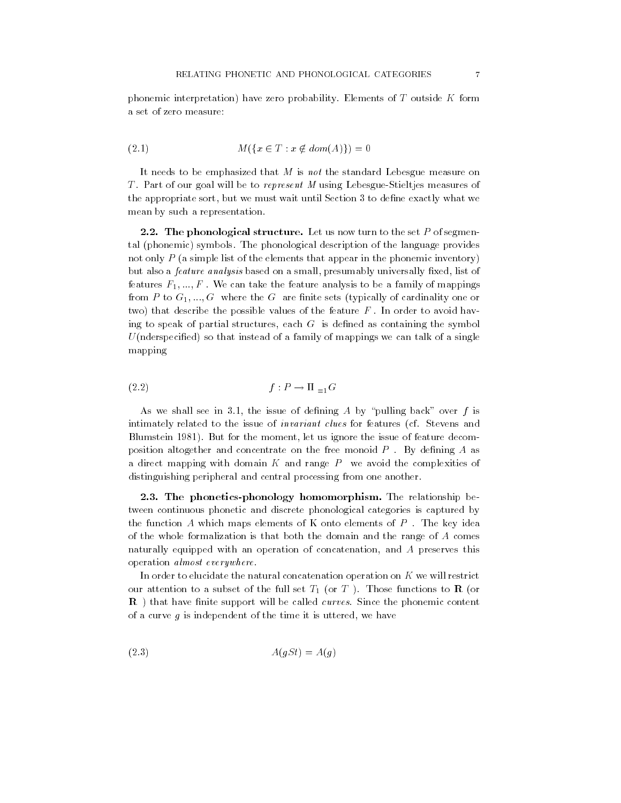phonemic interpretation) have zero probability. Elements of T outside K form a set of zero measure:

(2.1) 
$$
M(\{x \in T : x \notin dom(A)\}) = 0
$$

It needs to be emphasized that  $M$  is not the standard Lebesgue measure on T. Part of our goal will be to represent M using Lebesgue-Stieltjes measures of the appropriate sort, but we must wait until Section 3 to dene exactly what we mean by such a representation.

2.2. The phonological structure. Let us now turn to the set P of segmental (phonemic) symbols. The phonological description of the language provides not only P (a simple list of the elements that appear in the phonemic inventory) but also a *feature analysis* based on a small, presumably universally fixed, list of features  $F_1, ..., F$ . We can take the feature analysis to be a family of mappings from P to  $G_1, ..., G$  where the G are finite sets (typically of cardinality one or two) that describe the possible values of the feature  $F$ . In order to avoid having to speak of partial structures, each  $G$  is defined as containing the symbol  $U$ (nderspecified) so that instead of a family of mappings we can talk of a single mapping

$$
(2.2) \t\t\t f: P \to \Pi_{=1}G
$$

As we shall see in 3.1, the issue of defining A by "pulling back" over f is intimately related to the issue of invariant clues for features (cf. Stevens and Blumstein 1981). But for the moment, let us ignore the issue of feature decomposition altogether and concentrate on the free monoid  $P$  . By defining  $A$  as a direct mapping with domain  $K$  and range  $P$  we avoid the complexities of distinguishing peripheral and central processing from one another.

2.3. The phonetics-phonology homomorphism. The relationship between continuous phonetic and discrete phonological categories is captured by the function A which maps elements of K onto elements of  $P$ . The key idea of the whole formalization is that both the domain and the range of A comes naturally equipped with an operation of concatenation, and A preserves this operation almost everywhere.

In order to elucidate the natural concatenation operation on  $K$  we will restrict our attention to a subset of the full set  $T_1$  (or T). Those functions to **R** (or  $\blacksquare$  ) that have there support will be called curves. Since the phonemic content  $\blacksquare$ of a curve g is independent of the time it is uttered, we have

$$
(2.3) \t\t A(gSt) = A(g)
$$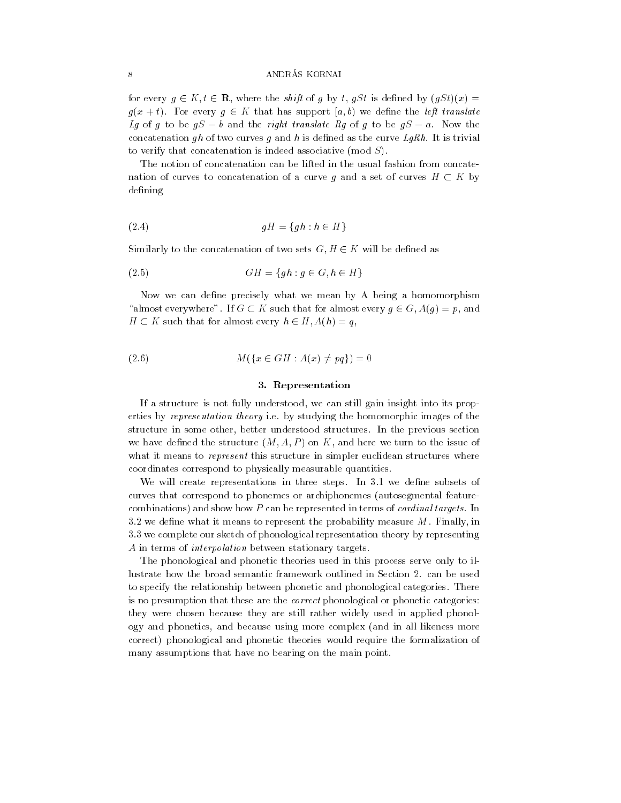for every  $g \in K, t \in \mathbf{R}$ , where the shift of g by t, gSt is defined by  $(gSt)(x) =$  $g(x + t)$ . For every  $g \in K$  that has support [a, b) we define the left translate Lg of g to be  $qS - b$  and the right translate Rg of g to be  $qS - a$ . Now the concatenation gh of two curves g and h is defined as the curve  $LgRh$ . It is trivial to verify that concatenation is indeed associative (mod S).

The notion of concatenation can be lifted in the usual fashion from concatenation of curves to concatenation of a curve g and a set of curves  $H \subset K$  by defining

(2.4) gH = fgh : h <sup>2</sup> Hg

Similarly to the concatenation of two sets  $G, H \in K$  will be defined as

$$
(2.5) \t\t\t GH = \{gh : g \in G, h \in H\}
$$

Now we can define precisely what we mean by A being a homomorphism "almost everywhere". If  $G \subset K$  such that for almost every  $g \in G$ ,  $A(g) = p$ , and  $H \subset K$  such that for almost every  $h \in H$ ,  $A(h) = q$ ,

(2.6) 
$$
M(\{x \in GH : A(x) \neq pq\}) = 0
$$

## 3. Representation

If a structure is not fully understood, we can still gain insight into its properties by representation theory i.e. by studying the homomorphic images of the structure in some other, better understood structures. In the previous section we have defined the structure  $(M, A, P)$  on K, and here we turn to the issue of what it means to represent this structure in simpler euclidean structures where coordinates correspond to physically measurable quantities.

We will create representations in three steps. In 3.1 we define subsets of curves that correspond to phonemes or archiphonemes (autosegmental featurecombinations) and show how P can be represented in terms of cardinal targets. In 3.2 we define what it means to represent the probability measure  $M$ . Finally, in 3.3 we complete our sketch of phonological representation theory by representing A in terms of interpolation between stationary targets.

The phonological and phonetic theories used in this process serve only to illustrate how the broad semantic framework outlined in Section 2. can be used to specify the relationship between phonetic and phonological categories. There is no presumption that these are the correct phonological or phonetic categories: they were chosen because they are still rather widely used in applied phonology and phonetics, and because using more complex (and in all likeness more correct) phonological and phonetic theories would require the formalization of many assumptions that have no bearing on the main point.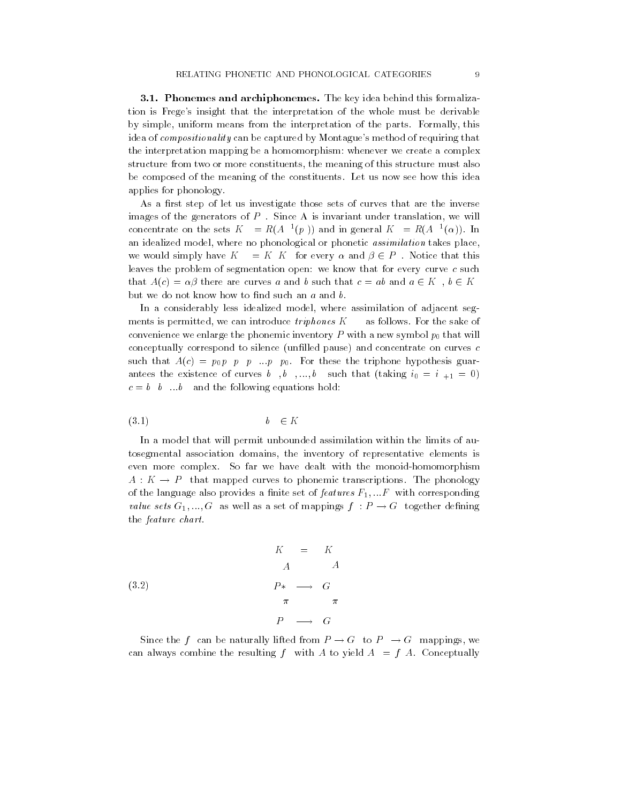3.1. Phonemes and archiphonemes. The key idea behind this formalization is Frege's insight that the interpretation of the whole must be derivable by simple, uniform means from the interpretation of the parts. Formally, this idea of compositionality can be captured by Montague's method of requiring that the interpretation mapping be a homomorphism: whenever we create a complex structure from two or more constituents, the meaning of this structure must also be composed of the meaning of the constituents. Let us now see how this idea applies for phonology.

As a first step of let us investigate those sets of curves that are the inverse images of the generators of  $P$  . Since A is invariant under translation, we will concentrate on the sets  $K = R(A^{-1}(p))$  and in general  $K = R(A^{-1}(\alpha))$ . In an idealized model, where no phonological or phonetic assimilation takes place, we would simply have  $K = K K$  for every  $\alpha$  and  $\beta \in P$ . Notice that this leaves the problem of segmentation open: we know that for every curve c such that  $A(c) = \alpha \beta$  there are curves a and b such that  $c = ab$  and  $a \in K$ ,  $b \in K$ but we do not know how to find such an  $a$  and  $b$ .

In a considerably less idealized model, where assimilation of adjacent seg ments is permitted, we can introduce  $triphones\ K$  as follows. For the sake of convenience we enlarge the phonemic inventory  $P$  with a new symbol  $p_0$  that will conceptually correspond to silence (unfilled pause) and concentrate on curves  $c$ such that  $A(c) = p_0 p \cdot p \cdot p \cdot p_0$ . For these the triphone hypothesis guarantees the existence of curves b, b, ..., b such that (taking  $i_0 = i_{+1} = 0$ )  $c = b \quad b \quad \dots b$  and the following equations hold:

$$
(3.1) \t\t b \t\t \in K
$$

In a model that will permit unbounded assimilation within the limits of autosegmental association domains, the inventory of representative elements is even more complex. So far we have dealt with the monoid-homomorphism  $A: K \to P$  that mapped curves to phonemic transcriptions. The phonology of the language also provides a finite set of  $features F_1, ... F$  with corresponding value sets  $G_1, ..., G$  as well as a set of mappings  $f : P \to G$  together defining the feature chart.

$$
K = K
$$
\n
$$
A \qquad A
$$
\n
$$
P* \longrightarrow G
$$
\n
$$
\pi \qquad \pi
$$
\n
$$
P \longrightarrow G
$$

Since the f can be naturally lifted from  $P \to G$  to  $P \to G$  mappings, we can always combine the resulting f with A to yield  $A = f A$ . Conceptually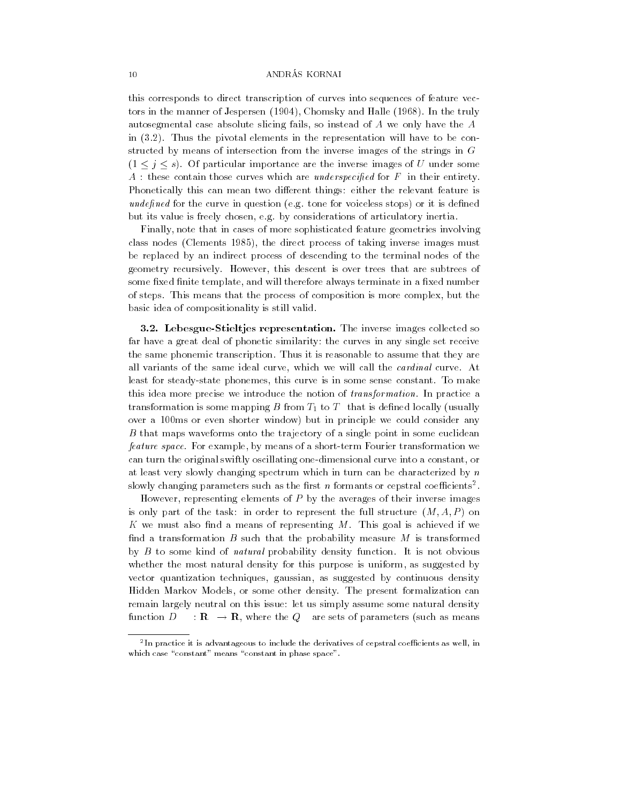this corresponds to direct transcription of curves into sequences of feature vectors in the manner of Jespersen (1904), Chomsky and Halle (1968). In the truly autosegmental case absolute slicing fails, so instead of A we only have the A in (3.2). Thus the pivotal elements in the representation will have to be constructed by means of intersection from the inverse images of the strings in G  $(1 \leq j \leq s)$ . Of particular importance are the inverse images of U under some  $A$ : these contain those curves which are *underspecified* for  $F$  in their entirety. Phonetically this can mean two different things: either the relevant feature is undefined for the curve in question (e.g. tone for voiceless stops) or it is defined but its value is freely chosen, e.g. by considerations of articulatory inertia.

Finally, note that in cases of more sophisticated feature geometries involving class nodes (Clements 1985), the direct process of taking inverse images must be replaced by an indirect process of descending to the terminal nodes of the geometry recursively. However, this descent is over trees that are subtrees of some fixed finite template, and will therefore always terminate in a fixed number of steps. This means that the process of composition is more complex, but the basic idea of compositionality is still valid.

3.2. Lebesgue-Stieltjes representation. The inverse images collected so far have a great deal of phonetic similarity: the curves in any single set receive the same phonemic transcription. Thus it is reasonable to assume that they are all variants of the same ideal curve, which we will call the cardinal curve. At least for steady-state phonemes, this curve is in some sense constant. To make this idea more precise we introduce the notion of transformation. In practice a transformation is some mapping  $B$  from  $T_1$  to  $T_1$  that is defined locally (usually over a 100ms or even shorter window) but in principle we could consider any B that maps waveforms onto the trajectory of a single point in some euclidean feature space. For example, by means of a short-term Fourier transformation we can turn the original swiftly oscillating one-dimensional curve into a constant, or at least very slowly changing spectrum which in turn can be characterized by n  $\,$  slowly changing parameters such as the first  $\,n\,$  formants or cepstral coefficients .

However, representing elements of  $P$  by the averages of their inverse images is only part of the task: in order to represent the full structure  $(M, A, P)$  on K we must also find a means of representing  $M$ . This goal is achieved if we find a transformation B such that the probability measure  $M$  is transformed by B to some kind of natural probability density function. It is not obvious whether the most natural density for this purpose is uniform, as suggested by vector quantization techniques, gaussian, as suggested by continuous density Hidden Markov Models, or some other density. The present formalization can remain largely neutral on this issue: let us simply assume some natural density function  $D \to \mathbf{R} \to \mathbf{R}$ , where the  $Q$  are sets of parameters (such as means

<sup>2</sup> In practice it is advantageous to include the derivatives of cepstral coecients as well, in which case "constant" means "constant in phase space".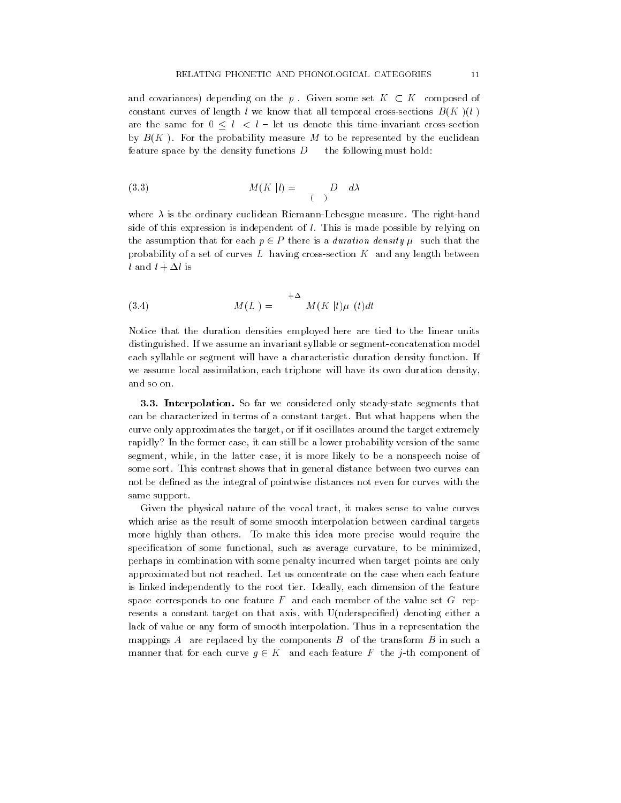and covariances) depending on the p. Given some set  $K \subset K$  composed of constant curves of length l we know that all temporal cross-sections  $B(K)(l)$ are the same for  $0 \leq l \leq l$  - let us denote this time-invariant cross-section by  $B(K)$ . For the probability measure M to be represented by the euclidean feature space by the density functions  $D$  the following must hold:

$$
(3.3) \t\t M(K|l) = D \t d\lambda
$$

where  $\lambda$  is the ordinary euclidean Riemann-Lebesgue measure. The right-hand side of this expression is independent of  $l$ . This is made possible by relying on the assumption that for each  $p \in P$  there is a *duration density*  $\mu$  such that the probability of a set of curves L having cross-section  $K$  and any length between l and  $l + \Delta l$  is

$$
(3.4) \t\t\t M(L) =
$$
<sup>+</sup>
$$
M(K | t) \mu (t) dt
$$

Notice that the duration densities employed here are tied to the linear units distinguished. If we assume an invariant syllable or segment-concatenation model each syllable or segment will have a characteristic duration density function. If we assume local assimilation, each triphone will have its own duration density, and so on.

3.3. Interpolation. So far we considered only steady-state segments that can be characterized in terms of a constant target. But what happens when the curve only approximates the target, or if it oscillates around the target extremely rapidly? In the former case, it can still be a lower probability version of the same segment, while, in the latter case, it is more likely to be a nonspeech noise of some sort. This contrast shows that in general distance between two curves can not be defined as the integral of pointwise distances not even for curves with the same support.

Given the physical nature of the vocal tract, it makes sense to value curves which arise as the result of some smooth interpolation between cardinal targets more highly than others. To make this idea more precise would require the specification of some functional, such as average curvature, to be minimized, perhaps in combination with some penalty incurred when target points are only approximated but not reached. Let us concentrate on the case when each feature is linked independently to the root tier. Ideally, each dimension of the feature space corresponds to one feature  $F$  and each member of the value set  $G$  represents a constant target on that axis, with U(nderspecified) denoting either a lack of value or any form of smooth interpolation. Thus in a representation the mappings A are replaced by the components  $B$  of the transform  $B$  in such a manner that for each curve  $g \in K$  and each feature F the j-th component of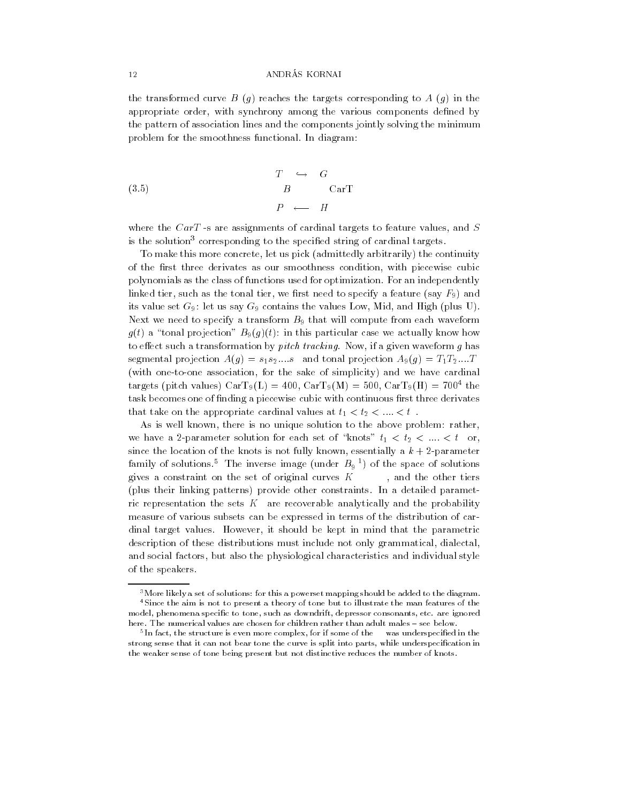the transformed curve B  $(g)$  reaches the targets corresponding to A  $(g)$  in the appropriate order, with synchrony among the various components defined by the pattern of association lines and the components jointly solving the minimum problem for the smoothness functional. In diagram:

(3.5) 
$$
\begin{array}{cccc}\nT & \hookrightarrow & G \\
B & & \text{CarT} \\
P & \longleftarrow & H\n\end{array}
$$

where the  $CarT$  -s are assignments of cardinal targets to feature values, and  $S$ is the solution<sup>3</sup> corresponding to the specified string of cardinal targets.

To make this more concrete, let us pick (admittedly arbitrarily) the continuity of the first three derivates as our smoothness condition, with piecewise cubic polynomials as the class of functions used for optimization. For an independently linked tier, such as the tonal tier, we first need to specify a feature (say  $F_9$ ) and its value set  $G_9$ : let us say  $G_9$  contains the values Low, Mid, and High (plus U). Next we need to specify a transform  $B_9$  that will compute from each waveform  $g(t)$  a "tonal projection"  $B_9(g)(t)$ : in this particular case we actually know how to effect such a transformation by pitch tracking. Now, if a given waveform  $g$  has segmental projection  $A(g) = s_1 s_2 \dots s$  and tonal projection  $A_9(g) = T_1 T_2 \dots T$ (with one-to-one association, for the sake of simplicity) and we have cardinal targets (pitch values)  $\text{CarT9(L)} = 400, \text{CarT9(M)} = 500, \text{CarT9(L)} = 700^{\circ}$  the task becomes one of finding a piecewise cubic with continuous first three derivates that take on the appropriate cardinal values at  $t_1 < t_2 < \ldots < t$ .

As is well known, there is no unique solution to the above problem: rather, we have a 2-parameter solution for each set of "knots"  $t_1 < t_2 < ... < t$  or, since the location of the knots is not fully known, essentially a  $k + 2$ -parameter  $\tt{ramily}$  of solutions." The inverse image (under  $B_9$   $\bar{\phantom{1}}$  ) of the space of solutions gives a constraint on the set of original curves  $K$ , and the other tiers (plus their linking patterns) provide other constraints. In a detailed parametric representation the sets  $K$  are recoverable analytically and the probability measure of various subsets can be expressed in terms of the distribution of cardinal target values. However, it should be kept in mind that the parametric description of these distributions must include not only grammatical, dialectal, and social factors, but also the physiological characteristics and individual style of the speakers.

<sup>&</sup>lt;sup>3</sup>More likely a set of solutions: for this a powerset mapping should be added to the diagram. 4Since the aim is not to present a theory of tone but to illustrate the man features of the model, phenomena specific to tone, such as downdrift, depressor consonants, etc. are ignored here. The numerical values are chosen for children rather than adult males - see below.

<sup>5</sup> In fact, the structure is even more complex, for if some of the was underspecied in the strong sense that it can not bear tone the curve is split into parts, while underspecication in the weaker sense of tone being present but not distinctive reduces the number of knots.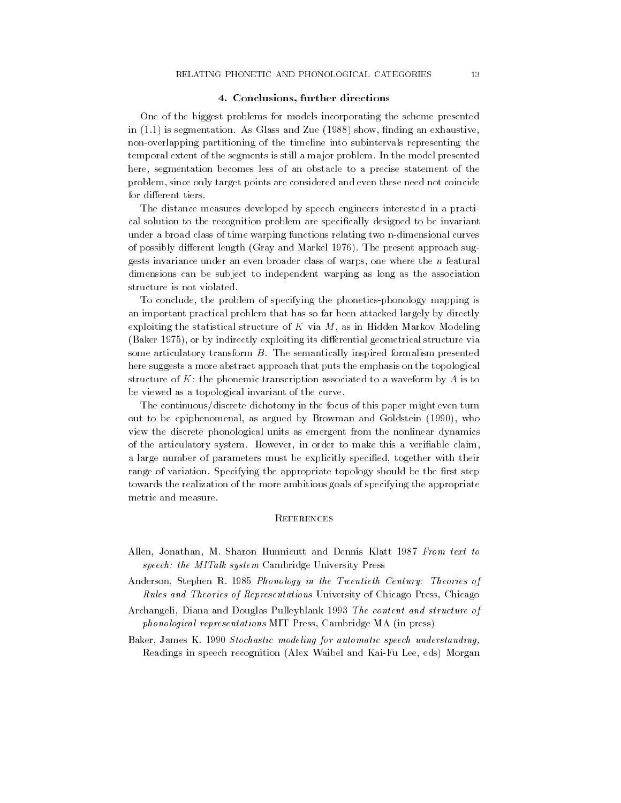## 4. Conclusions, further directions

One of the biggest problems for models incorporating the scheme presented in  $(1.1)$  is segmentation. As Glass and Zue  $(1988)$  show, finding an exhaustive, non-overlapping partitioning of the timeline into subintervals representing the temporal extent of the segments is still a major problem. In the model presented here, segmentation becomes less of an obstacle to a precise statement of the problem, since only target points are considered and even these need not coincide for different tiers.

The distance measures developed by speech engineers interested in a practical solution to the recognition problem are specically designed to be invariant under a broad class of time warping functions relating two n-dimensional curves of possibly different length (Gray and Markel 1976). The present approach suggests invariance under an even broader class of warps, one where the n featural dimensions can be subject to independent warping as long as the association structure is not violated.

To conclude, the problem of specifying the phonetics-phonology mapping is an important practical problem that has so far been attacked largely by directly exploiting the statistical structure of  $K$  via  $M$ , as in Hidden Markov Modeling (Baker 1975), or by indirectly exploiting its differential geometrical structure via some articulatory transform B. The semantically inspired formalism presented here suggests a more abstract approach that puts the emphasis on the topological structure of  $K$ : the phonemic transcription associated to a waveform by  $A$  is to be viewed as a topological invariant of the curve.

The continuous/discrete dichotomy in the focus of this paper might even turn out to be epiphenomenal, as argued by Browman and Goldstein (1990), who view the discrete phonological units as emergent from the nonlinear dynamics of the articulatory system. However, in order to make this a veriable claim, a large number of parameters must be explicitly specified, together with their range of variation. Specifying the appropriate topology should be the first step towards the realization of the more ambitious goals of specifying the appropriate metric and measure.

## **REFERENCES**

- Allen, Jonathan, M. Sharon Hunnicutt and Dennis Klatt 1987 From text to speech: the MITalk system Cambridge University Press
- Anderson, Stephen R. 1985 Phonology in the Twentieth Century: Theories of Rules and Theories of Representations University of Chicago Press, Chicago
- Archangeli, Diana and Douglas Pulleyblank 1993 The content and structure of phonological representations MIT Press, Cambridge MA (in press)
- Baker, James K. 1990 Stochastic modeling for automatic speech understanding, Readings in speech recognition (Alex Waibel and Kai-Fu Lee, eds) Morgan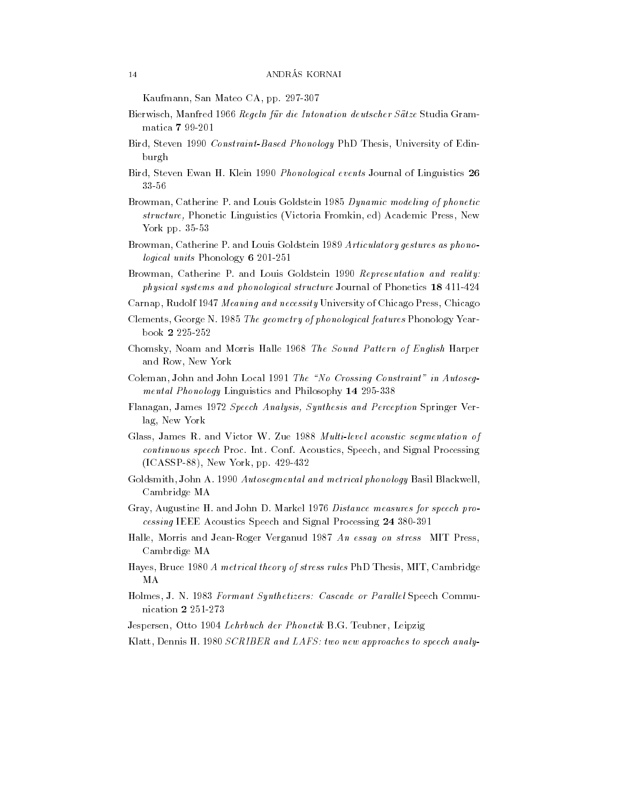Kaufmann, San Mateo CA, pp. 297-307

- Bierwisch, Manfred 1966 Regeln für die Intonation deutscher Sätze Studia Grammatica <sup>7</sup> 99-201
- Bird, Steven 1990 Constraint-Based Phonology PhD Thesis, University of Edinburgh
- Bird, Steven Ewan H. Klein 1990 Phonological events Journal of Linguistics <sup>26</sup> 33-56
- Browman, Catherine P. and Louis Goldstein 1985 Dynamic modeling of phonetic structure, Phonetic Linguistics (Victoria Fromkin, ed) Academic Press, New York pp. 35-53
- Browman, Catherine P. and Louis Goldstein 1989 Articulatory gestures as phonological units Phonology <sup>6</sup> 201-251
- Browman, Catherine P. and Louis Goldstein 1990 Representation and reality: physical systems and phonological structure Journal of Phonetics <sup>18</sup> 411-424
- Carnap, Rudolf 1947 Meaning and necessity University of Chicago Press, Chicago
- Clements, George N. 1985 The geometry of phonological features Phonology Yearbook <sup>2</sup> 225-252
- Chomsky, Noam and Morris Halle 1968 The Sound Pattern of English Harper and Row, New York
- Coleman, John and John Local 1991 The "No Crossing Constraint" in Autosegmental Phonology Linguistics and Philosophy <sup>14</sup> 295-338
- Flanagan, James 1972 Speech Analysis, Synthesis and Perception Springer Verlag, New York
- Glass, James R. and Victor W. Zue 1988 Multi-level acoustic segmentation of continuous speech Proc. Int. Conf. Acoustics, Speech, and Signal Processing (ICASSP-88), New York, pp. 429-432
- Goldsmith, John A. 1990 Autosegmental and metrical phonology Basil Blackwell, Cambridge MA
- Gray, Augustine H. and John D. Markel 1976 Distance measures for speech processing IEEE Acoustics Speech and Signal Processing <sup>24</sup> 380-391
- Halle, Morris and Jean-Roger Verganud 1987 An essay on stress MIT Press, Cambrdige MA
- Hayes, Bruce 1980 A metrical theory of stress rules PhD Thesis, MIT, Cambridge MA
- Holmes, J. N. 1983 Formant Synthetizers: Cascade or Parallel Speech Communication <sup>2</sup> 251-273
- Jespersen, Otto 1904 Lehrbuch der Phonetik B.G. Teubner, Leipzig
- Klatt, Dennis H. 1980 SCRIBER and LAFS: two new approaches to speech analy-